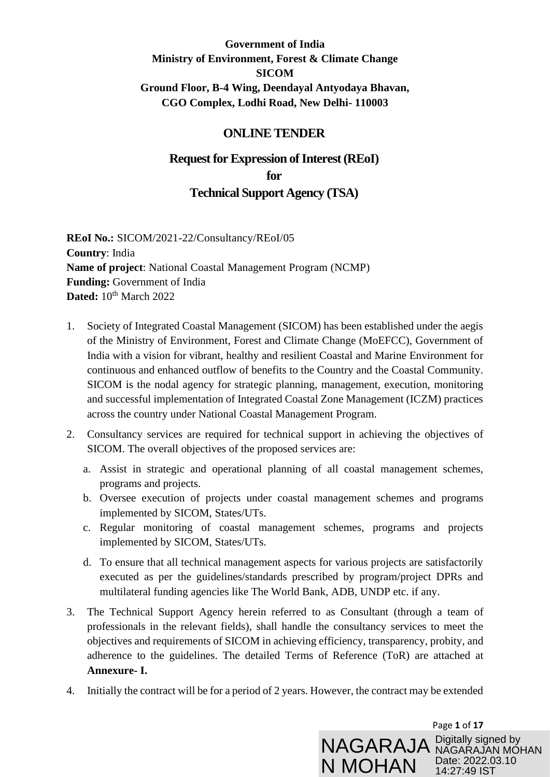### **Government of India Ministry of Environment, Forest & Climate Change SICOM Ground Floor, B-4 Wing, Deendayal Antyodaya Bhavan, CGO Complex, Lodhi Road, New Delhi- 110003**

#### **ONLINE TENDER**

## **Request for Expression of Interest (REoI) for**

### **Technical Support Agency (TSA)**

**REoI No.:** SICOM/2021-22/Consultancy/REoI/05 **Country**: India **Name of project**: National Coastal Management Program (NCMP) **Funding:** Government of India **Dated:** 10<sup>th</sup> March 2022

- 1. Society of Integrated Coastal Management (SICOM) has been established under the aegis of the Ministry of Environment, Forest and Climate Change (MoEFCC), Government of India with a vision for vibrant, healthy and resilient Coastal and Marine Environment for continuous and enhanced outflow of benefits to the Country and the Coastal Community. SICOM is the nodal agency for strategic planning, management, execution, monitoring and successful implementation of Integrated Coastal Zone Management (ICZM) practices across the country under National Coastal Management Program.
- 2. Consultancy services are required for technical support in achieving the objectives of SICOM. The overall objectives of the proposed services are:
	- a. Assist in strategic and operational planning of all coastal management schemes, programs and projects.
	- b. Oversee execution of projects under coastal management schemes and programs implemented by SICOM, States/UTs.
	- c. Regular monitoring of coastal management schemes, programs and projects implemented by SICOM, States/UTs.
	- d. To ensure that all technical management aspects for various projects are satisfactorily executed as per the guidelines/standards prescribed by program/project DPRs and multilateral funding agencies like The World Bank, ADB, UNDP etc. if any.
- 3. The Technical Support Agency herein referred to as Consultant (through a team of professionals in the relevant fields), shall handle the consultancy services to meet the objectives and requirements of SICOM in achieving efficiency, transparency, probity, and adherence to the guidelines. The detailed Terms of Reference (ToR) are attached at **Annexure- I.**
- 4. Initially the contract will be for a period of 2 years. However, the contract may be extended

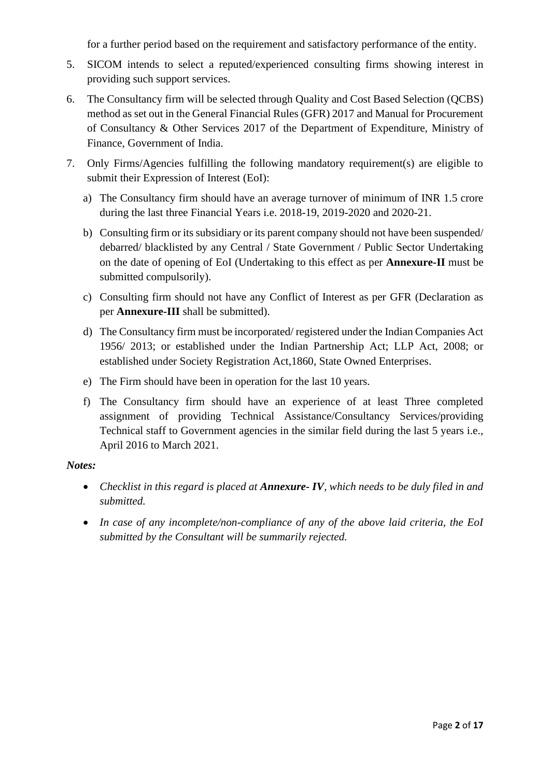for a further period based on the requirement and satisfactory performance of the entity.

- 5. SICOM intends to select a reputed/experienced consulting firms showing interest in providing such support services.
- 6. The Consultancy firm will be selected through Quality and Cost Based Selection (QCBS) method as set out in the General Financial Rules (GFR) 2017 and Manual for Procurement of Consultancy & Other Services 2017 of the Department of Expenditure, Ministry of Finance, Government of India.
- 7. Only Firms/Agencies fulfilling the following mandatory requirement(s) are eligible to submit their Expression of Interest (EoI):
	- a) The Consultancy firm should have an average turnover of minimum of INR 1.5 crore during the last three Financial Years i.e. 2018-19, 2019-2020 and 2020-21.
	- b) Consulting firm or its subsidiary or its parent company should not have been suspended/ debarred/ blacklisted by any Central / State Government / Public Sector Undertaking on the date of opening of EoI (Undertaking to this effect as per **Annexure-II** must be submitted compulsorily).
	- c) Consulting firm should not have any Conflict of Interest as per GFR (Declaration as per **Annexure-III** shall be submitted).
	- d) The Consultancy firm must be incorporated/ registered under the Indian Companies Act 1956/ 2013; or established under the Indian Partnership Act; LLP Act, 2008; or established under Society Registration Act,1860, State Owned Enterprises.
	- e) The Firm should have been in operation for the last 10 years.
	- f) The Consultancy firm should have an experience of at least Three completed assignment of providing Technical Assistance/Consultancy Services/providing Technical staff to Government agencies in the similar field during the last 5 years i.e., April 2016 to March 2021.

#### *Notes:*

- *Checklist in this regard is placed at Annexure- IV, which needs to be duly filed in and submitted.*
- *In case of any incomplete/non-compliance of any of the above laid criteria, the EoI submitted by the Consultant will be summarily rejected.*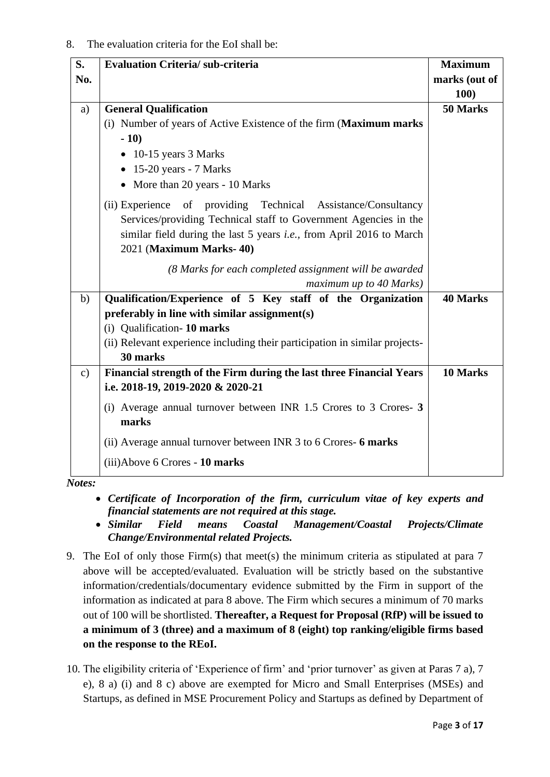#### 8. The evaluation criteria for the EoI shall be:

| S.<br>No.     | <b>Evaluation Criteria/sub-criteria</b>                                                                                                                                                                                                      | <b>Maximum</b><br>marks (out of |
|---------------|----------------------------------------------------------------------------------------------------------------------------------------------------------------------------------------------------------------------------------------------|---------------------------------|
|               |                                                                                                                                                                                                                                              | <b>100)</b>                     |
| a)            | <b>General Qualification</b>                                                                                                                                                                                                                 | 50 Marks                        |
|               | (i) Number of years of Active Existence of the firm (Maximum marks<br>$-10)$                                                                                                                                                                 |                                 |
|               | $\bullet$ 10-15 years 3 Marks                                                                                                                                                                                                                |                                 |
|               | $\bullet$ 15-20 years - 7 Marks                                                                                                                                                                                                              |                                 |
|               | • More than 20 years - 10 Marks                                                                                                                                                                                                              |                                 |
|               | (ii) Experience of providing Technical Assistance/Consultancy<br>Services/providing Technical staff to Government Agencies in the<br>similar field during the last 5 years <i>i.e.</i> , from April 2016 to March<br>2021 (Maximum Marks-40) |                                 |
|               | (8 Marks for each completed assignment will be awarded                                                                                                                                                                                       |                                 |
|               | maximum up to 40 Marks)                                                                                                                                                                                                                      |                                 |
| b)            | Qualification/Experience of 5 Key staff of the Organization                                                                                                                                                                                  | <b>40 Marks</b>                 |
|               | preferably in line with similar assignment(s)                                                                                                                                                                                                |                                 |
|               | (i) Qualification-10 marks                                                                                                                                                                                                                   |                                 |
|               | (ii) Relevant experience including their participation in similar projects-<br>30 marks                                                                                                                                                      |                                 |
| $\mathbf{c})$ | Financial strength of the Firm during the last three Financial Years                                                                                                                                                                         | 10 Marks                        |
|               | i.e. 2018-19, 2019-2020 & 2020-21                                                                                                                                                                                                            |                                 |
|               | (i) Average annual turnover between INR 1.5 Crores to 3 Crores 3<br>marks                                                                                                                                                                    |                                 |
|               | (ii) Average annual turnover between INR 3 to 6 Crores- 6 marks                                                                                                                                                                              |                                 |
|               | (iii) Above 6 Crores - 10 marks                                                                                                                                                                                                              |                                 |

*Notes:* 

- *Certificate of Incorporation of the firm, curriculum vitae of key experts and financial statements are not required at this stage.*
- *Similar Field means Coastal Management/Coastal Projects/Climate Change/Environmental related Projects.*
- 9. The EoI of only those Firm(s) that meet(s) the minimum criteria as stipulated at para 7 above will be accepted/evaluated. Evaluation will be strictly based on the substantive information/credentials/documentary evidence submitted by the Firm in support of the information as indicated at para 8 above. The Firm which secures a minimum of 70 marks out of 100 will be shortlisted. **Thereafter, a Request for Proposal (RfP) will be issued to a minimum of 3 (three) and a maximum of 8 (eight) top ranking/eligible firms based on the response to the REoI.**
- 10. The eligibility criteria of 'Experience of firm' and 'prior turnover' as given at Paras 7 a), 7 e), 8 a) (i) and 8 c) above are exempted for Micro and Small Enterprises (MSEs) and Startups, as defined in MSE Procurement Policy and Startups as defined by Department of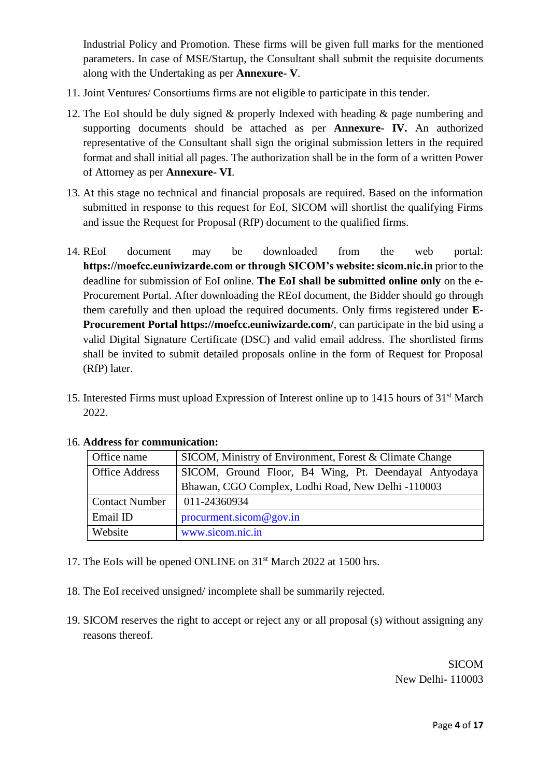Industrial Policy and Promotion. These firms will be given full marks for the mentioned parameters. In case of MSE/Startup, the Consultant shall submit the requisite documents along with the Undertaking as per **Annexure- V**.

- 11. Joint Ventures/ Consortiums firms are not eligible to participate in this tender.
- 12. The EoI should be duly signed & properly Indexed with heading & page numbering and supporting documents should be attached as per **Annexure- IV.** An authorized representative of the Consultant shall sign the original submission letters in the required format and shall initial all pages. The authorization shall be in the form of a written Power of Attorney as per **Annexure- VI**.
- 13. At this stage no technical and financial proposals are required. Based on the information submitted in response to this request for EoI, SICOM will shortlist the qualifying Firms and issue the Request for Proposal (RfP) document to the qualified firms.
- 14. REoI document may be downloaded from the web portal: **https://moefcc.euniwizarde.com or through SICOM's website: sicom.nic.in** prior to the deadline for submission of EoI online. **The EoI shall be submitted online only** on the e-Procurement Portal. After downloading the REoI document, the Bidder should go through them carefully and then upload the required documents. Only firms registered under **E-Procurement Portal https://moefcc.euniwizarde.com/**, can participate in the bid using a valid Digital Signature Certificate (DSC) and valid email address. The shortlisted firms shall be invited to submit detailed proposals online in the form of Request for Proposal (RfP) later.
- 15. Interested Firms must upload Expression of Interest online up to 1415 hours of 31st March 2022.

| Office name                                        | SICOM, Ministry of Environment, Forest & Climate Change |  |  |  |  |
|----------------------------------------------------|---------------------------------------------------------|--|--|--|--|
| <b>Office Address</b>                              | SICOM, Ground Floor, B4 Wing, Pt. Deendayal Antyodaya   |  |  |  |  |
| Bhawan, CGO Complex, Lodhi Road, New Delhi -110003 |                                                         |  |  |  |  |
| <b>Contact Number</b>                              | 011-24360934                                            |  |  |  |  |
| Email ID                                           | procurrent.sicom@gov.in                                 |  |  |  |  |
| Website                                            | www.sicom.nic.in                                        |  |  |  |  |

#### 16. **Address for communication:**

- 17. The EoIs will be opened ONLINE on 31<sup>st</sup> March 2022 at 1500 hrs.
- 18. The EoI received unsigned/ incomplete shall be summarily rejected.
- 19. SICOM reserves the right to accept or reject any or all proposal (s) without assigning any reasons thereof.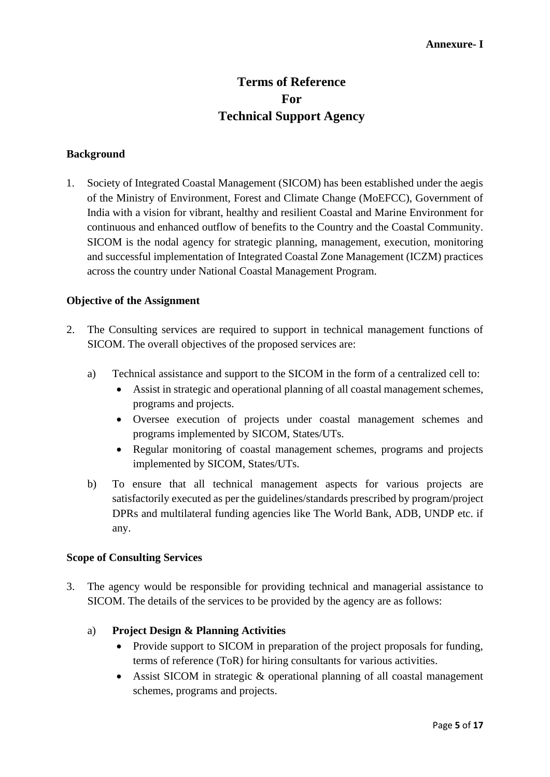#### **Annexure- I**

## **Terms of Reference For Technical Support Agency**

#### **Background**

1. Society of Integrated Coastal Management (SICOM) has been established under the aegis of the Ministry of Environment, Forest and Climate Change (MoEFCC), Government of India with a vision for vibrant, healthy and resilient Coastal and Marine Environment for continuous and enhanced outflow of benefits to the Country and the Coastal Community. SICOM is the nodal agency for strategic planning, management, execution, monitoring and successful implementation of Integrated Coastal Zone Management (ICZM) practices across the country under National Coastal Management Program.

#### **Objective of the Assignment**

- 2. The Consulting services are required to support in technical management functions of SICOM. The overall objectives of the proposed services are:
	- a) Technical assistance and support to the SICOM in the form of a centralized cell to:
		- Assist in strategic and operational planning of all coastal management schemes, programs and projects.
		- Oversee execution of projects under coastal management schemes and programs implemented by SICOM, States/UTs.
		- Regular monitoring of coastal management schemes, programs and projects implemented by SICOM, States/UTs.
	- b) To ensure that all technical management aspects for various projects are satisfactorily executed as per the guidelines/standards prescribed by program/project DPRs and multilateral funding agencies like The World Bank, ADB, UNDP etc. if any.

#### **Scope of Consulting Services**

- 3. The agency would be responsible for providing technical and managerial assistance to SICOM. The details of the services to be provided by the agency are as follows:
	- a) **Project Design & Planning Activities**
		- Provide support to SICOM in preparation of the project proposals for funding, terms of reference (ToR) for hiring consultants for various activities.
		- Assist SICOM in strategic & operational planning of all coastal management schemes, programs and projects.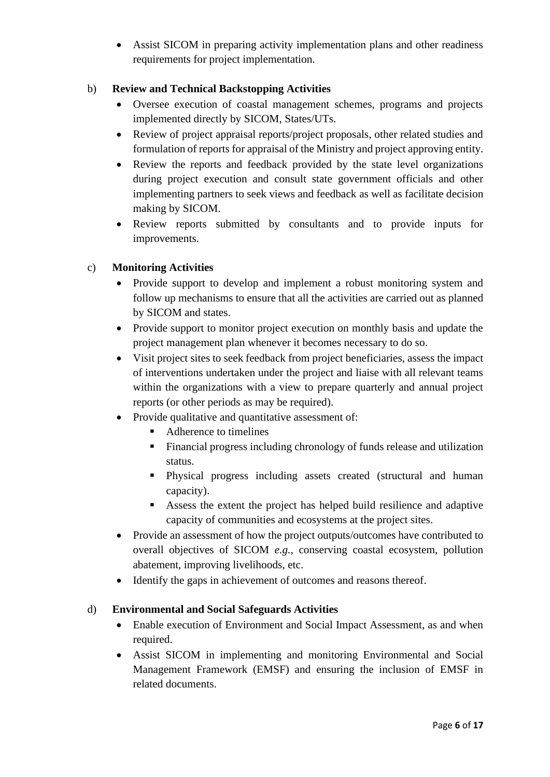• Assist SICOM in preparing activity implementation plans and other readiness requirements for project implementation.

#### b) **Review and Technical Backstopping Activities**

- Oversee execution of coastal management schemes, programs and projects implemented directly by SICOM, States/UTs.
- Review of project appraisal reports/project proposals, other related studies and formulation of reports for appraisal of the Ministry and project approving entity.
- Review the reports and feedback provided by the state level organizations during project execution and consult state government officials and other implementing partners to seek views and feedback as well as facilitate decision making by SICOM.
- Review reports submitted by consultants and to provide inputs for improvements.

#### c) **Monitoring Activities**

- Provide support to develop and implement a robust monitoring system and follow up mechanisms to ensure that all the activities are carried out as planned by SICOM and states.
- Provide support to monitor project execution on monthly basis and update the project management plan whenever it becomes necessary to do so.
- Visit project sites to seek feedback from project beneficiaries, assess the impact of interventions undertaken under the project and liaise with all relevant teams within the organizations with a view to prepare quarterly and annual project reports (or other periods as may be required).
- Provide qualitative and quantitative assessment of:
	- Adherence to timelines
	- Financial progress including chronology of funds release and utilization status.
	- Physical progress including assets created (structural and human capacity).
	- Assess the extent the project has helped build resilience and adaptive capacity of communities and ecosystems at the project sites.
- Provide an assessment of how the project outputs/outcomes have contributed to overall objectives of SICOM *e.g.,* conserving coastal ecosystem, pollution abatement, improving livelihoods, etc.
- Identify the gaps in achievement of outcomes and reasons thereof.

#### d) **Environmental and Social Safeguards Activities**

- Enable execution of Environment and Social Impact Assessment, as and when required.
- Assist SICOM in implementing and monitoring Environmental and Social Management Framework (EMSF) and ensuring the inclusion of EMSF in related documents.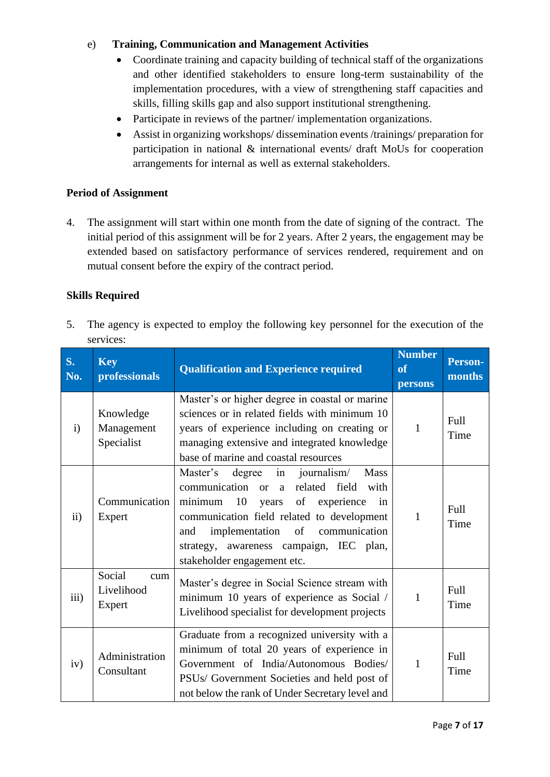#### e) **Training, Communication and Management Activities**

- Coordinate training and capacity building of technical staff of the organizations and other identified stakeholders to ensure long-term sustainability of the implementation procedures, with a view of strengthening staff capacities and skills, filling skills gap and also support institutional strengthening.
- Participate in reviews of the partner/ implementation organizations.
- Assist in organizing workshops/ dissemination events /trainings/ preparation for participation in national & international events/ draft MoUs for cooperation arrangements for internal as well as external stakeholders.

#### **Period of Assignment**

4. The assignment will start within one month from the date of signing of the contract. The initial period of this assignment will be for 2 years. After 2 years, the engagement may be extended based on satisfactory performance of services rendered, requirement and on mutual consent before the expiry of the contract period.

#### **Skills Required**

5. The agency is expected to employ the following key personnel for the execution of the services:

| <b>S.</b><br>No. | <b>Key</b><br>professionals           | <b>Qualification and Experience required</b>                                                                                                                                                                                                                                                                             | <b>Number</b><br>of<br>persons | Person-<br>months |
|------------------|---------------------------------------|--------------------------------------------------------------------------------------------------------------------------------------------------------------------------------------------------------------------------------------------------------------------------------------------------------------------------|--------------------------------|-------------------|
| $\mathbf{i}$     | Knowledge<br>Management<br>Specialist | Master's or higher degree in coastal or marine<br>sciences or in related fields with minimum 10<br>years of experience including on creating or<br>managing extensive and integrated knowledge<br>base of marine and coastal resources                                                                                   | $\mathbf{1}$                   | Full<br>Time      |
| $\rm ii)$        | Communication<br>Expert               | degree<br>in<br>journalism/<br><b>Mass</b><br>Master's<br>communication or a<br>related field<br>with<br>10<br>of experience<br>minimum<br>years<br>in<br>communication field related to development<br>implementation of communication<br>and<br>strategy, awareness campaign, IEC plan,<br>stakeholder engagement etc. | $\mathbf{1}$                   | Full<br>Time      |
| iii)             | Social<br>cum<br>Livelihood<br>Expert | Master's degree in Social Science stream with<br>minimum 10 years of experience as Social /<br>Livelihood specialist for development projects                                                                                                                                                                            | 1                              | Full<br>Time      |
| iv)              | Administration<br>Consultant          | Graduate from a recognized university with a<br>minimum of total 20 years of experience in<br>Government of India/Autonomous Bodies/<br>PSUs/ Government Societies and held post of<br>not below the rank of Under Secretary level and                                                                                   | $\mathbf{1}$                   | Full<br>Time      |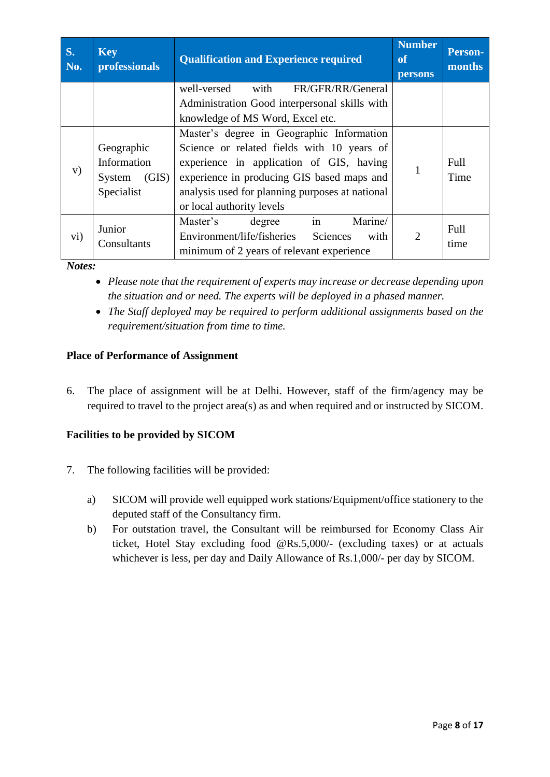| S.<br>No. | <b>Key</b><br>professionals                                | <b>Qualification and Experience required</b>                                                                                                                                                                                                                      | <b>Number</b><br><b>of</b><br><b>persons</b> | <b>Person-</b><br>months |
|-----------|------------------------------------------------------------|-------------------------------------------------------------------------------------------------------------------------------------------------------------------------------------------------------------------------------------------------------------------|----------------------------------------------|--------------------------|
|           |                                                            | well-versed<br>with<br>FR/GFR/RR/General<br>Administration Good interpersonal skills with<br>knowledge of MS Word, Excel etc.                                                                                                                                     |                                              |                          |
| V)        | Geographic<br>Information<br>(GIS)<br>System<br>Specialist | Master's degree in Geographic Information<br>Science or related fields with 10 years of<br>experience in application of GIS, having<br>experience in producing GIS based maps and<br>analysis used for planning purposes at national<br>or local authority levels |                                              | Full<br>Time             |
| vi)       | Junior<br>Consultants                                      | in<br>Marine/<br>Master's<br>degree<br>Environment/life/fisheries<br>Sciences<br>with<br>minimum of 2 years of relevant experience                                                                                                                                | $\overline{2}$                               | Full<br>time             |

*Notes:* 

- *Please note that the requirement of experts may increase or decrease depending upon the situation and or need. The experts will be deployed in a phased manner.*
- *The Staff deployed may be required to perform additional assignments based on the requirement/situation from time to time.*

#### **Place of Performance of Assignment**

6. The place of assignment will be at Delhi. However, staff of the firm/agency may be required to travel to the project area(s) as and when required and or instructed by SICOM.

#### **Facilities to be provided by SICOM**

- 7. The following facilities will be provided:
	- a) SICOM will provide well equipped work stations/Equipment/office stationery to the deputed staff of the Consultancy firm.
	- b) For outstation travel, the Consultant will be reimbursed for Economy Class Air ticket, Hotel Stay excluding food @Rs.5,000/- (excluding taxes) or at actuals whichever is less, per day and Daily Allowance of Rs.1,000/- per day by SICOM.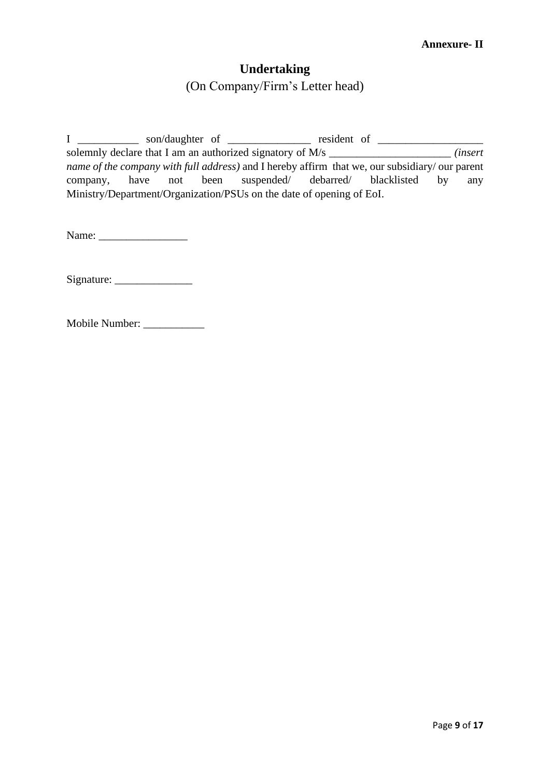## **Undertaking**

(On Company/Firm's Letter head)

I \_\_\_\_\_\_\_\_\_\_\_\_\_ son/daughter of \_\_\_\_\_\_\_\_\_\_\_\_\_\_\_\_ resident of \_\_\_\_\_\_\_\_\_\_\_\_\_\_\_\_\_\_\_ solemnly declare that I am an authorized signatory of M/s \_\_\_\_\_\_\_\_\_\_\_\_\_\_\_\_\_\_\_\_\_\_ *(insert name of the company with full address)* and I hereby affirm that we, our subsidiary/ our parent company, have not been suspended/ debarred/ blacklisted by any Ministry/Department/Organization/PSUs on the date of opening of EoI.

Name:

Signature: \_\_\_\_\_\_\_\_\_\_\_\_\_\_

Mobile Number: \_\_\_\_\_\_\_\_\_\_\_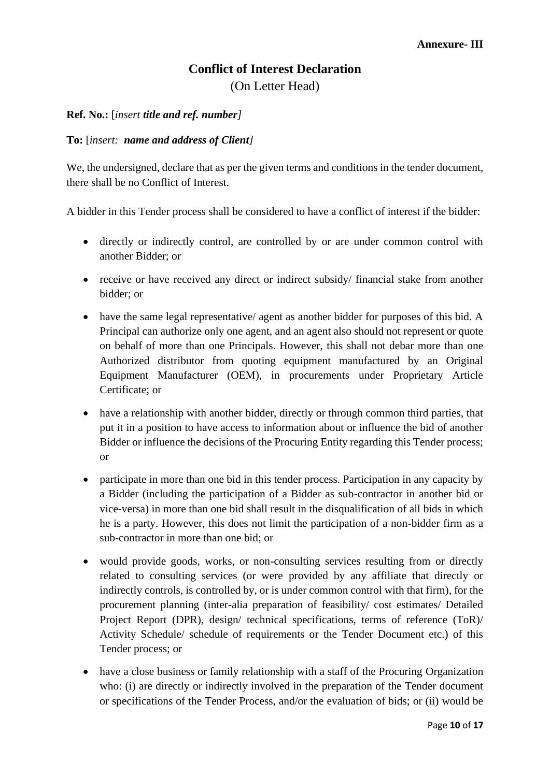## **Conflict of Interest Declaration** (On Letter Head)

#### **Ref. No.:** [*insert title and ref. number]*

#### **To:** [*insert: name and address of Client]*

We, the undersigned, declare that as per the given terms and conditions in the tender document, there shall be no Conflict of Interest.

A bidder in this Tender process shall be considered to have a conflict of interest if the bidder:

- directly or indirectly control, are controlled by or are under common control with another Bidder; or
- receive or have received any direct or indirect subsidy/ financial stake from another bidder; or
- have the same legal representative/ agent as another bidder for purposes of this bid. A Principal can authorize only one agent, and an agent also should not represent or quote on behalf of more than one Principals. However, this shall not debar more than one Authorized distributor from quoting equipment manufactured by an Original Equipment Manufacturer (OEM), in procurements under Proprietary Article Certificate; or
- have a relationship with another bidder, directly or through common third parties, that put it in a position to have access to information about or influence the bid of another Bidder or influence the decisions of the Procuring Entity regarding this Tender process; or
- participate in more than one bid in this tender process. Participation in any capacity by a Bidder (including the participation of a Bidder as sub-contractor in another bid or vice-versa) in more than one bid shall result in the disqualification of all bids in which he is a party. However, this does not limit the participation of a non-bidder firm as a sub-contractor in more than one bid; or
- would provide goods, works, or non-consulting services resulting from or directly related to consulting services (or were provided by any affiliate that directly or indirectly controls, is controlled by, or is under common control with that firm), for the procurement planning (inter-alia preparation of feasibility/ cost estimates/ Detailed Project Report (DPR), design/ technical specifications, terms of reference (ToR)/ Activity Schedule/ schedule of requirements or the Tender Document etc.) of this Tender process; or
- have a close business or family relationship with a staff of the Procuring Organization who: (i) are directly or indirectly involved in the preparation of the Tender document or specifications of the Tender Process, and/or the evaluation of bids; or (ii) would be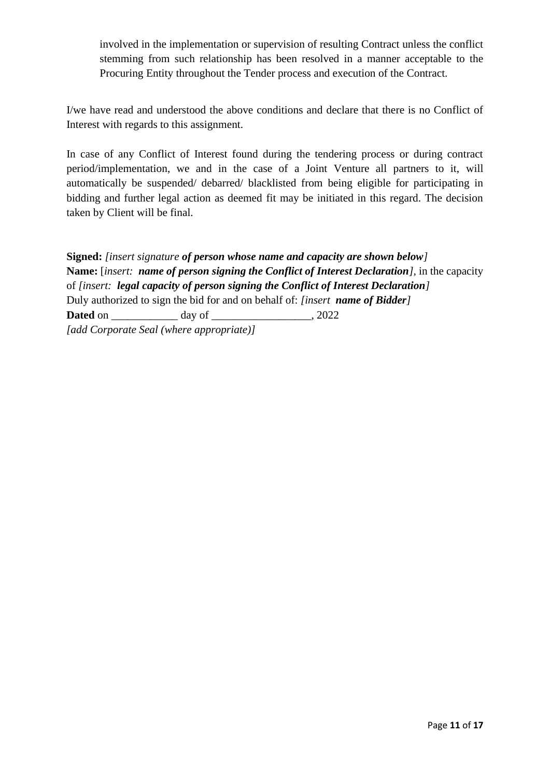involved in the implementation or supervision of resulting Contract unless the conflict stemming from such relationship has been resolved in a manner acceptable to the Procuring Entity throughout the Tender process and execution of the Contract.

I/we have read and understood the above conditions and declare that there is no Conflict of Interest with regards to this assignment.

In case of any Conflict of Interest found during the tendering process or during contract period/implementation, we and in the case of a Joint Venture all partners to it, will automatically be suspended/ debarred/ blacklisted from being eligible for participating in bidding and further legal action as deemed fit may be initiated in this regard. The decision taken by Client will be final.

**Signed:** *[insert signature of person whose name and capacity are shown below]* **Name:** [*insert: name of person signing the Conflict of Interest Declaration],* in the capacity of *[insert: legal capacity of person signing the Conflict of Interest Declaration]* Duly authorized to sign the bid for and on behalf of: *[insert name of Bidder]* **Dated** on \_\_\_\_\_\_\_\_\_\_\_\_\_ day of \_\_\_\_\_\_\_\_\_\_\_\_\_\_\_\_\_\_, 2022 *[add Corporate Seal (where appropriate)]*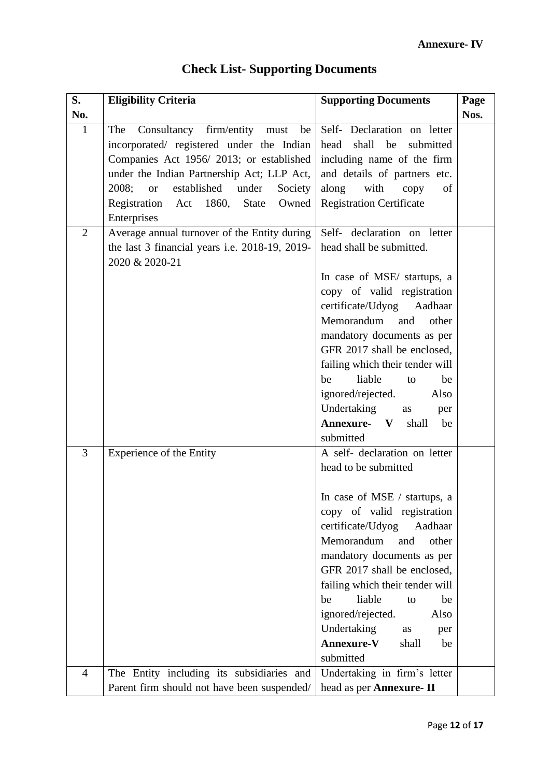| S.             | <b>Eligibility Criteria</b>                                                                                                          | <b>Supporting Documents</b>                                                                   | Page |
|----------------|--------------------------------------------------------------------------------------------------------------------------------------|-----------------------------------------------------------------------------------------------|------|
| No.            |                                                                                                                                      |                                                                                               | Nos. |
| $\mathbf{1}$   | Consultancy firm/entity<br>The<br>be<br>must<br>incorporated/ registered under the Indian<br>Companies Act 1956/2013; or established | Self- Declaration on letter<br>head<br>shall<br>be<br>submitted<br>including name of the firm |      |
|                | under the Indian Partnership Act; LLP Act,                                                                                           | and details of partners etc.                                                                  |      |
|                | established<br>under<br>2008;<br>Society<br><sub>or</sub>                                                                            | along<br>with<br>copy<br>of                                                                   |      |
|                | Registration Act 1860,<br><b>State</b><br>Owned<br>Enterprises                                                                       | <b>Registration Certificate</b>                                                               |      |
| $\overline{2}$ | Average annual turnover of the Entity during<br>the last 3 financial years i.e. 2018-19, 2019-<br>2020 & 2020-21                     | Self- declaration on letter<br>head shall be submitted.                                       |      |
|                |                                                                                                                                      | In case of MSE/ startups, a                                                                   |      |
|                |                                                                                                                                      | copy of valid registration                                                                    |      |
|                |                                                                                                                                      | certificate/Udyog Aadhaar                                                                     |      |
|                |                                                                                                                                      | Memorandum<br>and<br>other                                                                    |      |
|                |                                                                                                                                      | mandatory documents as per<br>GFR 2017 shall be enclosed,                                     |      |
|                |                                                                                                                                      | failing which their tender will                                                               |      |
|                |                                                                                                                                      | liable<br>be<br>to<br>be                                                                      |      |
|                |                                                                                                                                      | ignored/rejected.<br>Also                                                                     |      |
|                |                                                                                                                                      | Undertaking<br><b>as</b><br>per                                                               |      |
|                |                                                                                                                                      | <b>Annexure-</b> V<br>shall<br>be<br>submitted                                                |      |
| 3              | Experience of the Entity                                                                                                             | A self- declaration on letter                                                                 |      |
|                |                                                                                                                                      | head to be submitted                                                                          |      |
|                |                                                                                                                                      | In case of MSE / startups, a                                                                  |      |
|                |                                                                                                                                      | copy of valid registration                                                                    |      |
|                |                                                                                                                                      | certificate/Udyog<br>Aadhaar                                                                  |      |
|                |                                                                                                                                      | Memorandum<br>and<br>other                                                                    |      |
|                |                                                                                                                                      | mandatory documents as per                                                                    |      |
|                |                                                                                                                                      | GFR 2017 shall be enclosed,                                                                   |      |
|                |                                                                                                                                      | failing which their tender will                                                               |      |
|                |                                                                                                                                      | liable<br>be<br>be<br>to<br>ignored/rejected.<br>Also                                         |      |
|                |                                                                                                                                      | Undertaking<br>as<br>per                                                                      |      |
|                |                                                                                                                                      | <b>Annexure-V</b><br>shall<br>be                                                              |      |
|                |                                                                                                                                      | submitted                                                                                     |      |
| 4              | The Entity including its subsidiaries and                                                                                            | Undertaking in firm's letter                                                                  |      |
|                | Parent firm should not have been suspended/                                                                                          | head as per Annexure- II                                                                      |      |

## **Check List- Supporting Documents**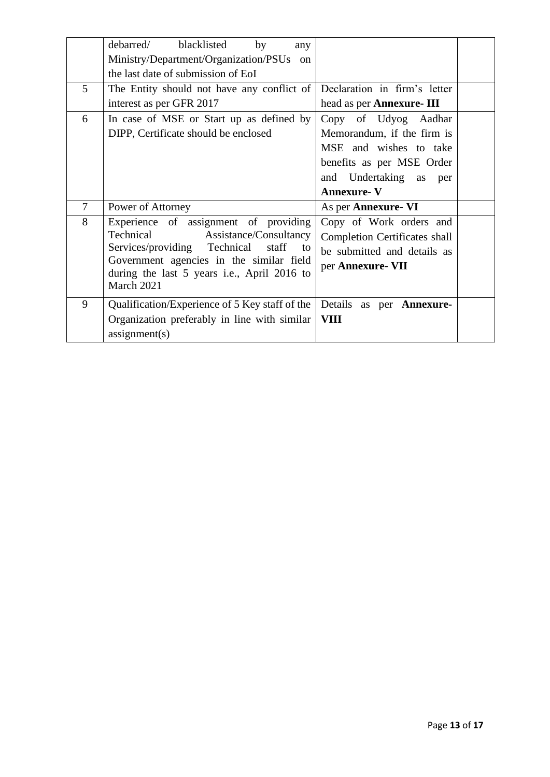|        | debarred/<br>blacklisted<br>by<br>any                         |                                      |  |
|--------|---------------------------------------------------------------|--------------------------------------|--|
|        | Ministry/Department/Organization/PSUs<br><sub>on</sub>        |                                      |  |
|        | the last date of submission of EoI                            |                                      |  |
| 5      | The Entity should not have any conflict of                    | Declaration in firm's letter         |  |
|        | interest as per GFR 2017                                      | head as per <b>Annexure</b> - III    |  |
| 6      | In case of MSE or Start up as defined by                      | Copy of Udyog Aadhar                 |  |
|        | DIPP, Certificate should be enclosed                          | Memorandum, if the firm is           |  |
|        |                                                               | MSE and wishes to take               |  |
|        |                                                               | benefits as per MSE Order            |  |
|        |                                                               | and Undertaking as<br>per            |  |
|        |                                                               |                                      |  |
|        |                                                               | <b>Annexure-V</b>                    |  |
| $\tau$ | Power of Attorney                                             | As per <b>Annexure</b> - VI          |  |
| 8      | Experience of assignment of providing                         | Copy of Work orders and              |  |
|        | Technical<br>Assistance/Consultancy                           | <b>Completion Certificates shall</b> |  |
|        | Services/providing Technical staff<br>to                      | be submitted and details as          |  |
|        | Government agencies in the similar field                      | per Annexure- VII                    |  |
|        | during the last 5 years i.e., April 2016 to                   |                                      |  |
|        | March 2021                                                    |                                      |  |
| 9      | Qualification/Experience of 5 Key staff of the                | Details as per <b>Annexure-</b>      |  |
|        | Organization preferably in line with similar<br>assignment(s) | <b>VIII</b>                          |  |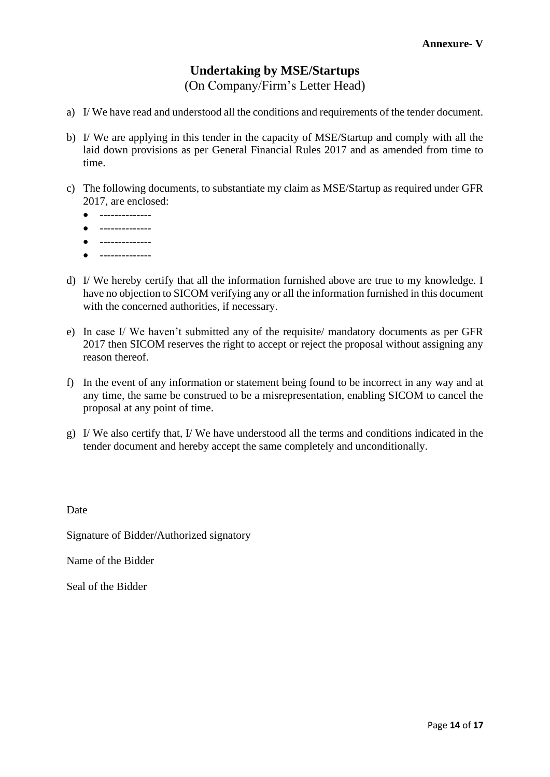# **Undertaking by MSE/Startups**

(On Company/Firm's Letter Head)

- a) I/ We have read and understood all the conditions and requirements of the tender document.
- b) I/ We are applying in this tender in the capacity of MSE/Startup and comply with all the laid down provisions as per General Financial Rules 2017 and as amended from time to time.
- c) The following documents, to substantiate my claim as MSE/Startup as required under GFR 2017, are enclosed:
	- --------------
	- --------------
	- --------------
	- $\bullet$  --------------
- d) I/ We hereby certify that all the information furnished above are true to my knowledge. I have no objection to SICOM verifying any or all the information furnished in this document with the concerned authorities, if necessary.
- e) In case I/ We haven't submitted any of the requisite/ mandatory documents as per GFR 2017 then SICOM reserves the right to accept or reject the proposal without assigning any reason thereof.
- f) In the event of any information or statement being found to be incorrect in any way and at any time, the same be construed to be a misrepresentation, enabling SICOM to cancel the proposal at any point of time.
- g) I/ We also certify that, I/ We have understood all the terms and conditions indicated in the tender document and hereby accept the same completely and unconditionally.

Date

Signature of Bidder/Authorized signatory

Name of the Bidder

Seal of the Bidder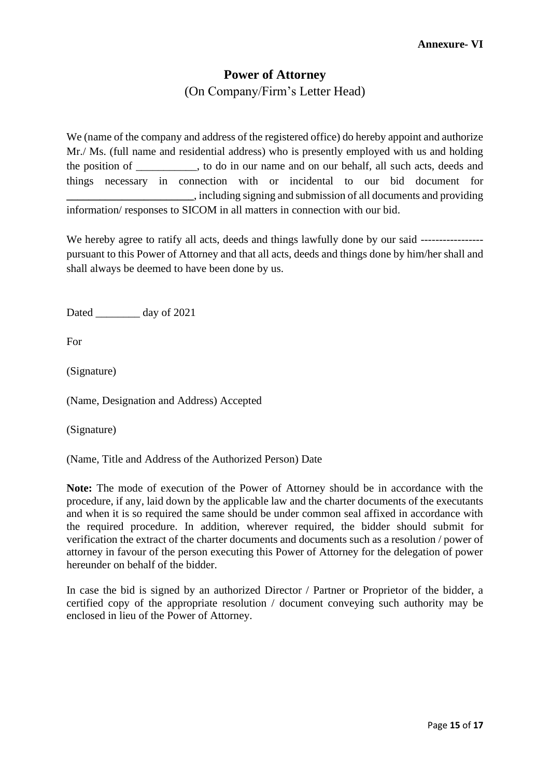# **Power of Attorney**

(On Company/Firm's Letter Head)

We (name of the company and address of the registered office) do hereby appoint and authorize Mr./ Ms. (full name and residential address) who is presently employed with us and holding the position of \_\_\_\_\_\_\_\_\_\_\_, to do in our name and on our behalf, all such acts, deeds and things necessary in connection with or incidental to our bid document for **\_\_\_\_\_\_\_\_\_\_\_\_\_\_\_\_\_\_\_\_\_\_\_**, including signing and submission of all documents and providing information/ responses to SICOM in all matters in connection with our bid.

We hereby agree to ratify all acts, deeds and things lawfully done by our said -----------------pursuant to this Power of Attorney and that all acts, deeds and things done by him/her shall and shall always be deemed to have been done by us.

Dated day of 2021

For

(Signature)

(Name, Designation and Address) Accepted

(Signature)

(Name, Title and Address of the Authorized Person) Date

**Note:** The mode of execution of the Power of Attorney should be in accordance with the procedure, if any, laid down by the applicable law and the charter documents of the executants and when it is so required the same should be under common seal affixed in accordance with the required procedure. In addition, wherever required, the bidder should submit for verification the extract of the charter documents and documents such as a resolution / power of attorney in favour of the person executing this Power of Attorney for the delegation of power hereunder on behalf of the bidder.

In case the bid is signed by an authorized Director / Partner or Proprietor of the bidder, a certified copy of the appropriate resolution / document conveying such authority may be enclosed in lieu of the Power of Attorney.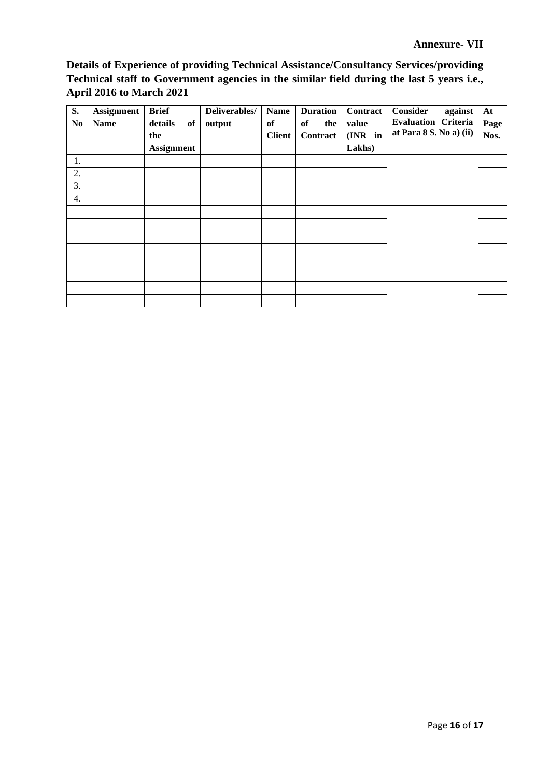**Details of Experience of providing Technical Assistance/Consultancy Services/providing Technical staff to Government agencies in the similar field during the last 5 years i.e., April 2016 to March 2021**

| S.<br>N <sub>0</sub> | Assignment<br><b>Name</b> | <b>Brief</b><br>details<br>of<br>the | Deliverables/<br>output | <b>Name</b><br>of<br><b>Client</b> | <b>Duration</b><br>of<br>the<br>Contract | Contract<br>value<br>(INR in | Consider<br>against<br><b>Evaluation Criteria</b><br>at Para 8 S. No a) (ii) | At<br>Page<br>Nos. |
|----------------------|---------------------------|--------------------------------------|-------------------------|------------------------------------|------------------------------------------|------------------------------|------------------------------------------------------------------------------|--------------------|
|                      |                           | <b>Assignment</b>                    |                         |                                    |                                          | Lakhs)                       |                                                                              |                    |
| 1.                   |                           |                                      |                         |                                    |                                          |                              |                                                                              |                    |
| 2.                   |                           |                                      |                         |                                    |                                          |                              |                                                                              |                    |
| 3.                   |                           |                                      |                         |                                    |                                          |                              |                                                                              |                    |
| 4.                   |                           |                                      |                         |                                    |                                          |                              |                                                                              |                    |
|                      |                           |                                      |                         |                                    |                                          |                              |                                                                              |                    |
|                      |                           |                                      |                         |                                    |                                          |                              |                                                                              |                    |
|                      |                           |                                      |                         |                                    |                                          |                              |                                                                              |                    |
|                      |                           |                                      |                         |                                    |                                          |                              |                                                                              |                    |
|                      |                           |                                      |                         |                                    |                                          |                              |                                                                              |                    |
|                      |                           |                                      |                         |                                    |                                          |                              |                                                                              |                    |
|                      |                           |                                      |                         |                                    |                                          |                              |                                                                              |                    |
|                      |                           |                                      |                         |                                    |                                          |                              |                                                                              |                    |